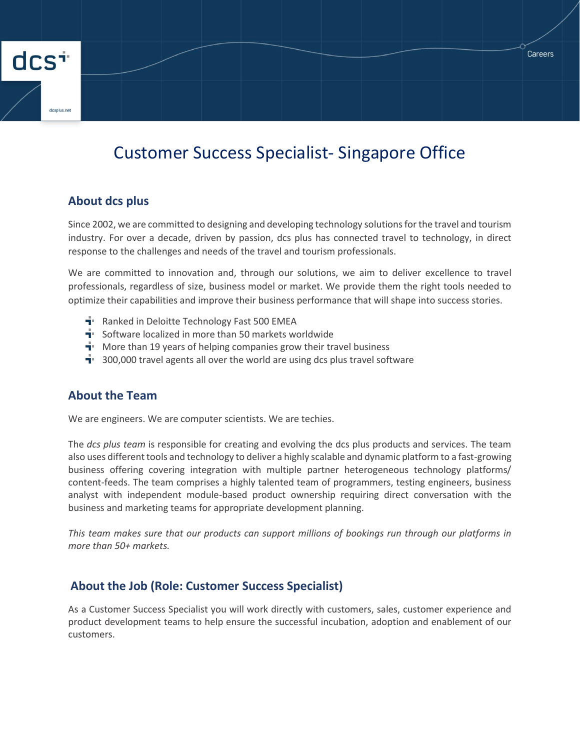# Customer Success Specialist- Singapore Office

### **About dcs plus**

dcs<sup>+</sup>

Since 2002, we are committed to designing and developing technology solutions for the travel and tourism industry. For over a decade, driven by passion, dcs plus has connected travel to technology, in direct response to the challenges and needs of the travel and tourism professionals.

We are committed to innovation and, through our solutions, we aim to deliver excellence to travel professionals, regardless of size, business model or market. We provide them the right tools needed to optimize their capabilities and improve their business performance that will shape into success stories.

- **F** Ranked in Deloitte Technology Fast 500 EMEA
- $\mathbf{F}$  Software localized in more than 50 markets worldwide
- $\mathbf{\dot{a}}$ . More than 19 years of helping companies grow their travel business
- $\mathbf{\dot{a}}$  300,000 travel agents all over the world are using dcs plus travel software

#### **About the Team**

We are engineers. We are computer scientists. We are techies.

The *dcs plus team* is responsible for creating and evolving the dcs plus products and services. The team also uses different tools and technology to deliver a highly scalable and dynamic platform to a fast-growing business offering covering integration with multiple partner heterogeneous technology platforms/ content-feeds. The team comprises a highly talented team of programmers, testing engineers, business analyst with independent module-based product ownership requiring direct conversation with the business and marketing teams for appropriate development planning.

*This team makes sure that our products can support millions of bookings run through our platforms in more than 50+ markets.*

#### **About the Job (Role: Customer Success Specialist)**

As a Customer Success Specialist you will work directly with customers, sales, customer experience and product development teams to help ensure the successful incubation, adoption and enablement of our customers.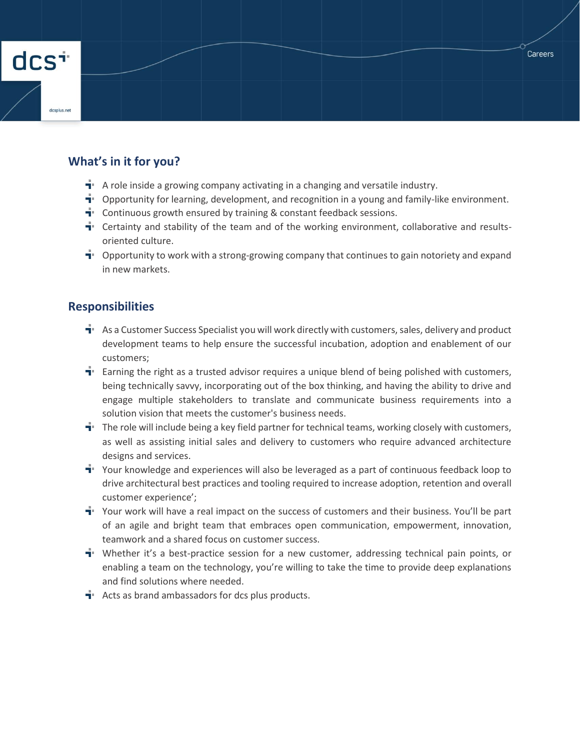

## **What's in it for you?**

- $\mathbf{\dot{a}}$ . A role inside a growing company activating in a changing and versatile industry.
- $\mathbf{I}^*$  Opportunity for learning, development, and recognition in a young and family-like environment.
- $\mathbf{\dot{a}}$  Continuous growth ensured by training & constant feedback sessions.
- $\mathbf{F}$  Certainty and stability of the team and of the working environment, collaborative and resultsoriented culture.
- $\mathbf{u}$  Opportunity to work with a strong-growing company that continues to gain notoriety and expand in new markets.

#### **Responsibilities**

- $\mathbf{F}$  As a Customer Success Specialist you will work directly with customers, sales, delivery and product development teams to help ensure the successful incubation, adoption and enablement of our customers;
- $\mathbf{\dot{a}}$  Earning the right as a trusted advisor requires a unique blend of being polished with customers, being technically savvy, incorporating out of the box thinking, and having the ability to drive and engage multiple stakeholders to translate and communicate business requirements into a solution vision that meets the customer's business needs.
- $\dot{\mathbf{r}}$  The role will include being a key field partner for technical teams, working closely with customers, as well as assisting initial sales and delivery to customers who require advanced architecture designs and services.
- $\mathbf{u}$  Your knowledge and experiences will also be leveraged as a part of continuous feedback loop to drive architectural best practices and tooling required to increase adoption, retention and overall customer experience';
- $\mathbf{u}$  Your work will have a real impact on the success of customers and their business. You'll be part of an agile and bright team that embraces open communication, empowerment, innovation, teamwork and a shared focus on customer success.
- $\mathbf{\dot{a}}$ . Whether it's a best-practice session for a new customer, addressing technical pain points, or enabling a team on the technology, you're willing to take the time to provide deep explanations and find solutions where needed.
- $\mathbf{F}$  Acts as brand ambassadors for dcs plus products.